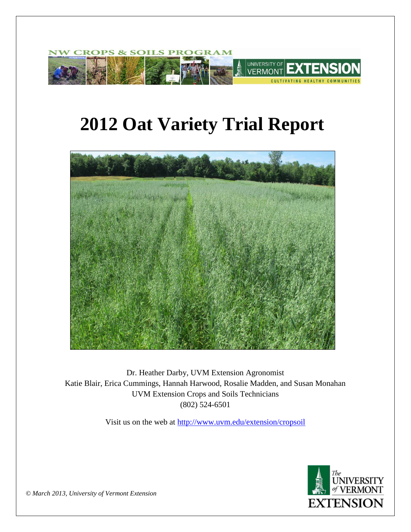

# **2012 Oat Variety Trial Report**



Dr. Heather Darby, UVM Extension Agronomist Katie Blair, Erica Cummings, Hannah Harwood, Rosalie Madden, and Susan Monahan UVM Extension Crops and Soils Technicians (802) 524-6501

Visit us on the web at<http://www.uvm.edu/extension/cropsoil>



*© March 2013, University of Vermont Extension*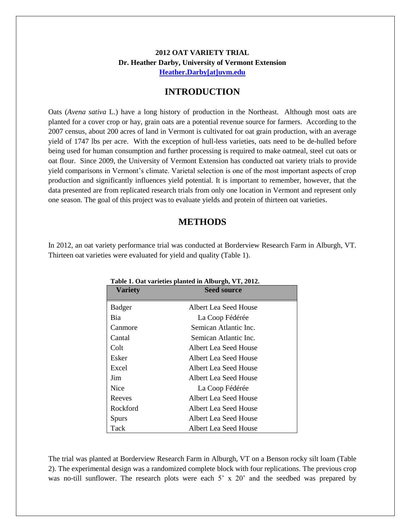## **2012 OAT VARIETY TRIAL Dr. Heather Darby, University of Vermont Extension [Heather.Darby\[at\]uvm.edu](mailto:Heather.Darby@uvm.edu?subject=2012%20Oat%20Variety%20Trial)**

## **INTRODUCTION**

Oats (*Avena sativa* L.) have a long history of production in the Northeast. Although most oats are planted for a cover crop or hay, grain oats are a potential revenue source for farmers. According to the 2007 census, about 200 acres of land in Vermont is cultivated for oat grain production, with an average yield of 1747 lbs per acre. With the exception of hull-less varieties, oats need to be de-hulled before being used for human consumption and further processing is required to make oatmeal, steel cut oats or oat flour. Since 2009, the University of Vermont Extension has conducted oat variety trials to provide yield comparisons in Vermont's climate. Varietal selection is one of the most important aspects of crop production and significantly influences yield potential. It is important to remember, however, that the data presented are from replicated research trials from only one location in Vermont and represent only one season. The goal of this project was to evaluate yields and protein of thirteen oat varieties.

## **METHODS**

In 2012, an oat variety performance trial was conducted at Borderview Research Farm in Alburgh, VT. Thirteen oat varieties were evaluated for yield and quality (Table 1).

| <b>Variety</b> | <b>Seed source</b>    |  |
|----------------|-----------------------|--|
| Badger         | Albert Lea Seed House |  |
| Bia            | La Coop Fédérée       |  |
| Canmore        | Semican Atlantic Inc. |  |
| Cantal         | Semican Atlantic Inc. |  |
| Colt           | Albert Lea Seed House |  |
| Esker          | Albert Lea Seed House |  |
| Excel          | Albert Lea Seed House |  |
| Jim            | Albert Lea Seed House |  |
| <b>Nice</b>    | La Coop Fédérée       |  |
| Reeves         | Albert Lea Seed House |  |
| Rockford       | Albert Lea Seed House |  |
| <b>Spurs</b>   | Albert Lea Seed House |  |
| Tack           | Albert Lea Seed House |  |

**Table 1. Oat varieties planted in Alburgh, VT, 2012.**

The trial was planted at Borderview Research Farm in Alburgh, VT on a Benson rocky silt loam (Table 2). The experimental design was a randomized complete block with four replications. The previous crop was no-till sunflower. The research plots were each  $5' \times 20'$  and the seedbed was prepared by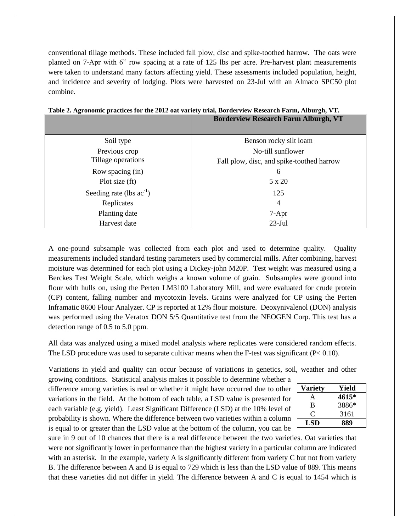conventional tillage methods. These included fall plow, disc and spike-toothed harrow. The oats were planted on 7-Apr with 6" row spacing at a rate of 125 lbs per acre. Pre-harvest plant measurements were taken to understand many factors affecting yield. These assessments included population, height, and incidence and severity of lodging. Plots were harvested on 23-Jul with an Almaco SPC50 plot combine.

|                               | <b>Borderview Research Farm Alburgh, VT</b> |
|-------------------------------|---------------------------------------------|
| Soil type                     | Benson rocky silt loam                      |
| Previous crop                 | No-till sunflower                           |
| Tillage operations            | Fall plow, disc, and spike-toothed harrow   |
| Row spacing (in)              | 6                                           |
| Plot size $(ft)$              | 5 x 20                                      |
| Seeding rate (lbs $ac^{-1}$ ) | 125                                         |
| Replicates                    | 4                                           |
| Planting date                 | $7-Apr$                                     |
| Harvest date                  | $23-Jul$                                    |

|  |  |  | Table 2. Agronomic practices for the 2012 oat variety trial, Borderview Research Farm, Alburgh, VT. |  |
|--|--|--|-----------------------------------------------------------------------------------------------------|--|
|--|--|--|-----------------------------------------------------------------------------------------------------|--|

A one-pound subsample was collected from each plot and used to determine quality. Quality measurements included standard testing parameters used by commercial mills. After combining, harvest moisture was determined for each plot using a Dickey-john M20P. Test weight was measured using a Berckes Test Weight Scale, which weighs a known volume of grain. Subsamples were ground into flour with hulls on, using the Perten LM3100 Laboratory Mill, and were evaluated for crude protein (CP) content, falling number and mycotoxin levels. Grains were analyzed for CP using the Perten Inframatic 8600 Flour Analyzer. CP is reported at 12% flour moisture. Deoxynivalenol (DON) analysis was performed using the Veratox DON 5/5 Quantitative test from the NEOGEN Corp. This test has a detection range of 0.5 to 5.0 ppm.

All data was analyzed using a mixed model analysis where replicates were considered random effects. The LSD procedure was used to separate cultivar means when the F-test was significant ( $P < 0.10$ ).

Variations in yield and quality can occur because of variations in genetics, soil, weather and other

growing conditions. Statistical analysis makes it possible to determine whether a difference among varieties is real or whether it might have occurred due to other variations in the field. At the bottom of each table, a LSD value is presented for each variable (e.g. yield). Least Significant Difference (LSD) at the 10% level of probability is shown. Where the difference between two varieties within a column is equal to or greater than the LSD value at the bottom of the column, you can be

| <b>Variety</b> | Yield |
|----------------|-------|
| А              | 4615* |
| B              | 3886* |
| €              | 3161  |
| LSD            | 889   |

sure in 9 out of 10 chances that there is a real difference between the two varieties. Oat varieties that were not significantly lower in performance than the highest variety in a particular column are indicated with an asterisk. In the example, variety A is significantly different from variety C but not from variety B. The difference between A and B is equal to 729 which is less than the LSD value of 889. This means that these varieties did not differ in yield. The difference between A and C is equal to 1454 which is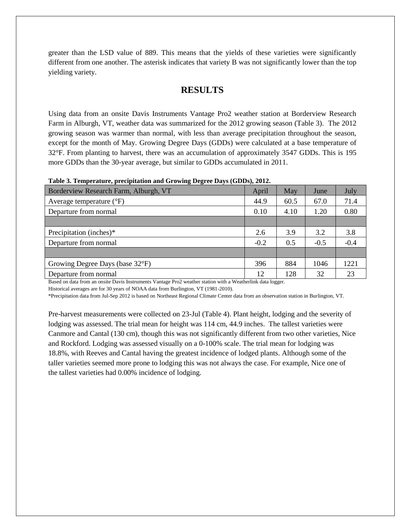greater than the LSD value of 889. This means that the yields of these varieties were significantly different from one another. The asterisk indicates that variety B was not significantly lower than the top yielding variety.

# **RESULTS**

Using data from an onsite Davis Instruments Vantage Pro2 weather station at Borderview Research Farm in Alburgh, VT, weather data was summarized for the 2012 growing season (Table 3). The 2012 growing season was warmer than normal, with less than average precipitation throughout the season, except for the month of May. Growing Degree Days (GDDs) were calculated at a base temperature of 32°F. From planting to harvest, there was an accumulation of approximately 3547 GDDs. This is 195 more GDDs than the 30-year average, but similar to GDDs accumulated in 2011.

| Table 3. Temperature, precipitation and Growing Degree Days (GDDs), 2012. |  |  |  |  |  |  |  |  |  |  |  |
|---------------------------------------------------------------------------|--|--|--|--|--|--|--|--|--|--|--|
|---------------------------------------------------------------------------|--|--|--|--|--|--|--|--|--|--|--|

| Borderview Research Farm, Alburgh, VT | April  | May  | June   | July   |
|---------------------------------------|--------|------|--------|--------|
| Average temperature $(^{\circ}F)$     | 44.9   | 60.5 | 67.0   | 71.4   |
| Departure from normal                 | 0.10   | 4.10 | 1.20   | 0.80   |
|                                       |        |      |        |        |
| Precipitation (inches)*               | 2.6    | 3.9  | 3.2    | 3.8    |
| Departure from normal                 | $-0.2$ | 0.5  | $-0.5$ | $-0.4$ |
|                                       |        |      |        |        |
| Growing Degree Days (base 32°F)       | 396    | 884  | 1046   | 1221   |
| Departure from normal                 | 12     | 128  | 32     | 23     |

Based on data from an onsite Davis Instruments Vantage Pro2 weather station with a Weatherlink data logger.

Historical averages are for 30 years of NOAA data from Burlington, VT (1981-2010).

\*Precipitation data from Jul-Sep 2012 is based on Northeast Regional Climate Center data from an observation station in Burlington, VT.

Pre-harvest measurements were collected on 23-Jul (Table 4). Plant height, lodging and the severity of lodging was assessed. The trial mean for height was 114 cm, 44.9 inches. The tallest varieties were Canmore and Cantal (130 cm), though this was not significantly different from two other varieties, Nice and Rockford. Lodging was assessed visually on a 0-100% scale. The trial mean for lodging was 18.8%, with Reeves and Cantal having the greatest incidence of lodged plants. Although some of the taller varieties seemed more prone to lodging this was not always the case. For example, Nice one of the tallest varieties had 0.00% incidence of lodging.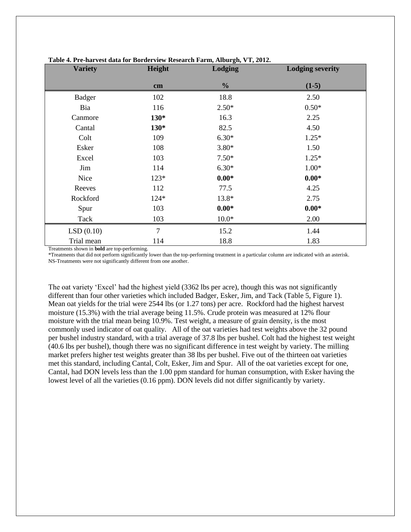| <b>Variety</b> | Height         | Lodging       | <b>Lodging severity</b> |
|----------------|----------------|---------------|-------------------------|
|                | cm             | $\frac{0}{0}$ | $(1-5)$                 |
| <b>Badger</b>  | 102            | 18.8          | 2.50                    |
| Bia            | 116            | $2.50*$       | $0.50*$                 |
| Canmore        | $130*$         | 16.3          | 2.25                    |
| Cantal         | $130*$         | 82.5          | 4.50                    |
| Colt           | 109            | $6.30*$       | $1.25*$                 |
| Esker          | 108            | $3.80*$       | 1.50                    |
| Excel          | 103            | $7.50*$       | $1.25*$                 |
| Jim            | 114            | $6.30*$       | $1.00*$                 |
| Nice           | $123*$         | $0.00*$       | $0.00*$                 |
| Reeves         | 112            | 77.5          | 4.25                    |
| Rockford       | 124*           | 13.8*         | 2.75                    |
| Spur           | 103            | $0.00*$       | $0.00*$                 |
| Tack           | 103            | $10.0*$       | 2.00                    |
| LSD(0.10)      | $\overline{7}$ | 15.2          | 1.44                    |
| Trial mean     | 114            | 18.8          | 1.83                    |

#### **Table 4. Pre-harvest data for Borderview Research Farm, Alburgh, VT, 2012.**

Treatments shown in **bold** are top-performing.

\*Treatments that did not perform significantly lower than the top-performing treatment in a particular column are indicated with an asterisk. NS-Treatments were not significantly different from one another.

The oat variety 'Excel' had the highest yield (3362 lbs per acre), though this was not significantly different than four other varieties which included Badger, Esker, Jim, and Tack (Table 5, Figure 1). Mean oat yields for the trial were 2544 lbs (or 1.27 tons) per acre. Rockford had the highest harvest moisture (15.3%) with the trial average being 11.5%. Crude protein was measured at 12% flour moisture with the trial mean being 10.9%. Test weight, a measure of grain density, is the most commonly used indicator of oat quality. All of the oat varieties had test weights above the 32 pound per bushel industry standard, with a trial average of 37.8 lbs per bushel. Colt had the highest test weight (40.6 lbs per bushel), though there was no significant difference in test weight by variety. The milling market prefers higher test weights greater than 38 lbs per bushel. Five out of the thirteen oat varieties met this standard, including Cantal, Colt, Esker, Jim and Spur. All of the oat varieties except for one, Cantal, had DON levels less than the 1.00 ppm standard for human consumption, with Esker having the lowest level of all the varieties (0.16 ppm). DON levels did not differ significantly by variety.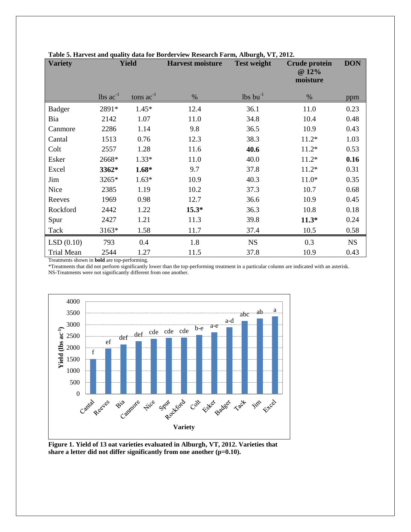| <b>Variety</b>    | <b>Yield</b>                  |                | <b>Harvest moisture</b><br><b>Test weight</b> |                               | <b>Crude protein</b><br>@ 12%<br>moisture | <b>DON</b> |
|-------------------|-------------------------------|----------------|-----------------------------------------------|-------------------------------|-------------------------------------------|------------|
|                   | $\text{ lbs } \text{ac}^{-1}$ | tons $ac^{-1}$ | %                                             | $\text{lbs}$ bu <sup>-1</sup> | %                                         | ppm        |
| <b>Badger</b>     | 2891*                         | $1.45*$        | 12.4                                          | 36.1                          | 11.0                                      | 0.23       |
| Bia               | 2142                          | 1.07           | 11.0                                          | 34.8                          | 10.4                                      | 0.48       |
| Canmore           | 2286                          | 1.14           | 9.8                                           | 36.5                          | 10.9                                      | 0.43       |
| Cantal            | 1513                          | 0.76           | 12.3                                          | 38.3                          | $11.2*$                                   | 1.03       |
| Colt              | 2557                          | 1.28           | 11.6                                          | 40.6                          | $11.2*$                                   | 0.53       |
| Esker             | 2668*                         | $1.33*$        | 11.0                                          | 40.0                          | $11.2*$                                   | 0.16       |
| Excel             | 3362*                         | $1.68*$        | 9.7                                           | 37.8                          | $11.2*$                                   | 0.31       |
| Jim               | 3265*                         | $1.63*$        | 10.9                                          | 40.3                          | $11.0*$                                   | 0.35       |
| Nice              | 2385                          | 1.19           | 10.2                                          | 37.3                          | 10.7                                      | 0.68       |
| Reeves            | 1969                          | 0.98           | 12.7                                          | 36.6                          | 10.9                                      | 0.45       |
| Rockford          | 2442                          | 1.22           | $15.3*$                                       | 36.3                          | 10.8                                      | 0.18       |
| Spur              | 2427                          | 1.21           | 11.3                                          | 39.8                          | $11.3*$                                   | 0.24       |
| Tack              | 3163*                         | 1.58           | 11.7                                          | 37.4                          | 10.5                                      | 0.58       |
| LSD(0.10)         | 793                           | 0.4            | 1.8                                           | <b>NS</b>                     | 0.3                                       | <b>NS</b>  |
| <b>Trial Mean</b> | 2544                          | 1.27           | 11.5                                          | 37.8                          | 10.9                                      | 0.43       |

#### **Table 5. Harvest and quality data for Borderview Research Farm, Alburgh, VT, 2012.**

Treatments shown in **bold** are top-performing.

\*Treatments that did not perform significantly lower than the top-performing treatment in a particular column are indicated with an asterisk. NS-Treatments were not significantly different from one another.



**Figure 1. Yield of 13 oat varieties evaluated in Alburgh, VT, 2012. Varieties that share a letter did not differ significantly from one another (p=0.10).**